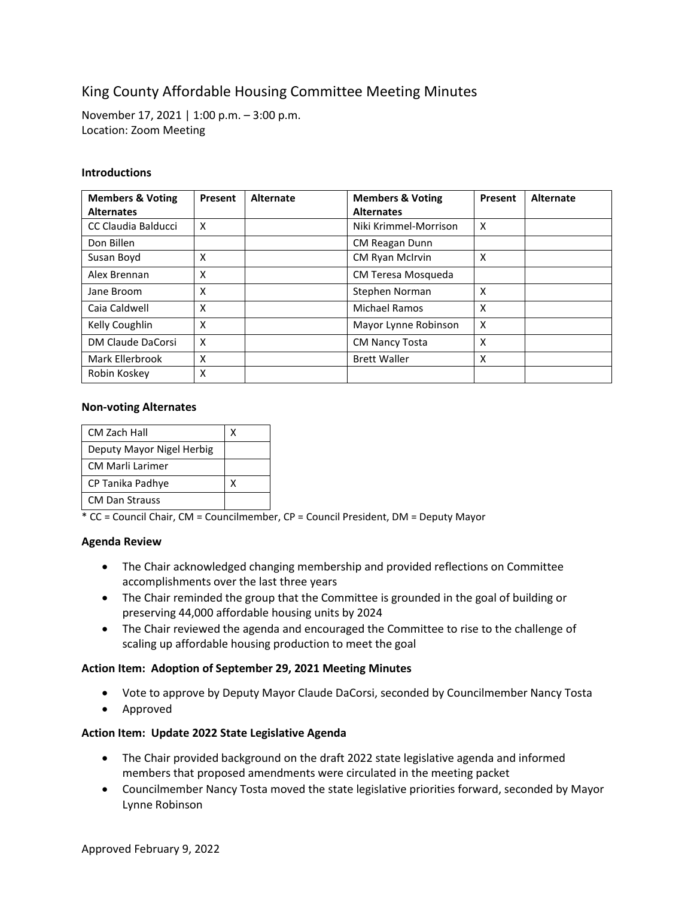# King County Affordable Housing Committee Meeting Minutes

November 17, 2021 | 1:00 p.m. – 3:00 p.m. Location: Zoom Meeting

## **Introductions**

| <b>Members &amp; Voting</b> | Present | Alternate | <b>Members &amp; Voting</b> | Present                   | Alternate |
|-----------------------------|---------|-----------|-----------------------------|---------------------------|-----------|
| <b>Alternates</b>           |         |           | <b>Alternates</b>           |                           |           |
| CC Claudia Balducci         | X       |           | Niki Krimmel-Morrison       | $\boldsymbol{\mathsf{x}}$ |           |
| Don Billen                  |         |           | CM Reagan Dunn              |                           |           |
| Susan Boyd                  | X       |           | CM Ryan McIrvin             | X                         |           |
| Alex Brennan                | X       |           | CM Teresa Mosqueda          |                           |           |
| Jane Broom                  | X       |           | Stephen Norman              | X                         |           |
| Caia Caldwell               | X       |           | Michael Ramos               | X                         |           |
| Kelly Coughlin              | X       |           | Mayor Lynne Robinson        | X                         |           |
| DM Claude DaCorsi           | X       |           | <b>CM Nancy Tosta</b>       | X                         |           |
| Mark Ellerbrook             | X       |           | <b>Brett Waller</b>         | X                         |           |
| Robin Koskey                | x       |           |                             |                           |           |

## **Non-voting Alternates**

| CM Zach Hall              |  |
|---------------------------|--|
| Deputy Mayor Nigel Herbig |  |
| <b>CM Marli Larimer</b>   |  |
| CP Tanika Padhye          |  |
| <b>CM Dan Strauss</b>     |  |

\* CC = Council Chair, CM = Councilmember, CP = Council President, DM = Deputy Mayor

## **Agenda Review**

- The Chair acknowledged changing membership and provided reflections on Committee accomplishments over the last three years
- The Chair reminded the group that the Committee is grounded in the goal of building or preserving 44,000 affordable housing units by 2024
- The Chair reviewed the agenda and encouraged the Committee to rise to the challenge of scaling up affordable housing production to meet the goal

## **Action Item: Adoption of September 29, 2021 Meeting Minutes**

- Vote to approve by Deputy Mayor Claude DaCorsi, seconded by Councilmember Nancy Tosta
- Approved

# **Action Item: Update 2022 State Legislative Agenda**

- The Chair provided background on the draft 2022 state legislative agenda and informed members that proposed amendments were circulated in the meeting packet
- Councilmember Nancy Tosta moved the state legislative priorities forward, seconded by Mayor Lynne Robinson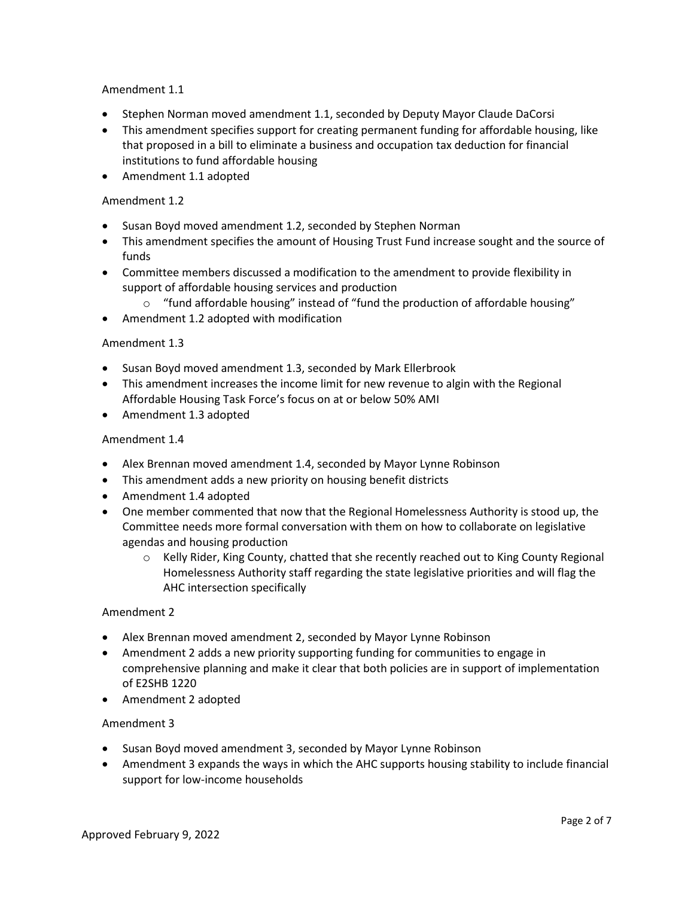## Amendment 1.1

- Stephen Norman moved amendment 1.1, seconded by Deputy Mayor Claude DaCorsi
- This amendment specifies support for creating permanent funding for affordable housing, like that proposed in a bill to eliminate a business and occupation tax deduction for financial institutions to fund affordable housing
- Amendment 1.1 adopted

## Amendment 1.2

- Susan Boyd moved amendment 1.2, seconded by Stephen Norman
- This amendment specifies the amount of Housing Trust Fund increase sought and the source of funds
- Committee members discussed a modification to the amendment to provide flexibility in support of affordable housing services and production
	- $\circ$  "fund affordable housing" instead of "fund the production of affordable housing"
- Amendment 1.2 adopted with modification

## Amendment 1.3

- Susan Boyd moved amendment 1.3, seconded by Mark Ellerbrook
- This amendment increases the income limit for new revenue to algin with the Regional Affordable Housing Task Force's focus on at or below 50% AMI
- Amendment 1.3 adopted

## Amendment 1.4

- Alex Brennan moved amendment 1.4, seconded by Mayor Lynne Robinson
- This amendment adds a new priority on housing benefit districts
- Amendment 1.4 adopted
- One member commented that now that the Regional Homelessness Authority is stood up, the Committee needs more formal conversation with them on how to collaborate on legislative agendas and housing production
	- o Kelly Rider, King County, chatted that she recently reached out to King County Regional Homelessness Authority staff regarding the state legislative priorities and will flag the AHC intersection specifically

## Amendment 2

- Alex Brennan moved amendment 2, seconded by Mayor Lynne Robinson
- Amendment 2 adds a new priority supporting funding for communities to engage in comprehensive planning and make it clear that both policies are in support of implementation of E2SHB 1220
- Amendment 2 adopted

## Amendment 3

- Susan Boyd moved amendment 3, seconded by Mayor Lynne Robinson
- Amendment 3 expands the ways in which the AHC supports housing stability to include financial support for low-income households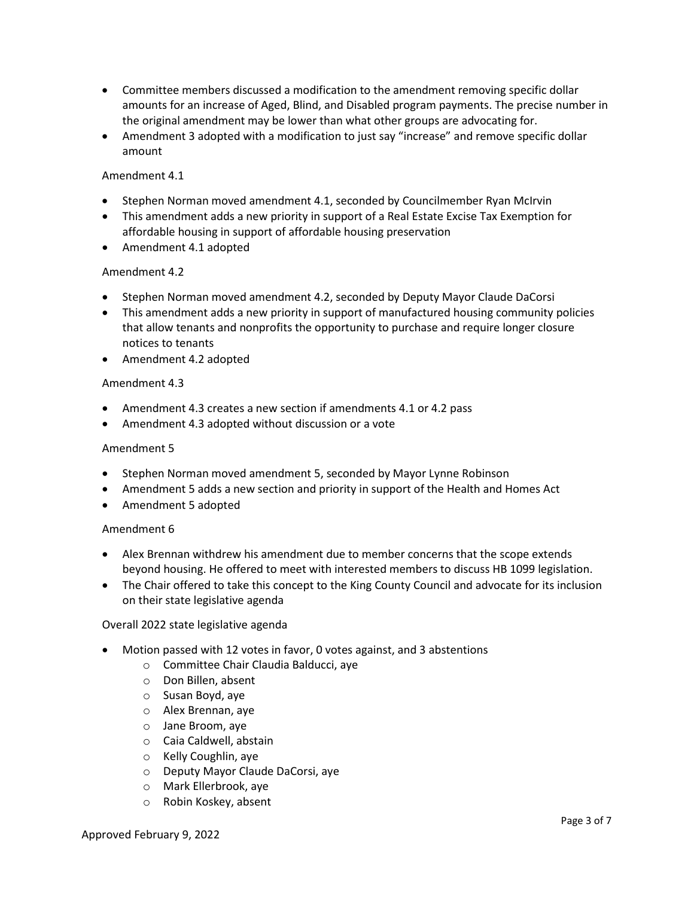- Committee members discussed a modification to the amendment removing specific dollar amounts for an increase of Aged, Blind, and Disabled program payments. The precise number in the original amendment may be lower than what other groups are advocating for.
- Amendment 3 adopted with a modification to just say "increase" and remove specific dollar amount

## Amendment 4.1

- Stephen Norman moved amendment 4.1, seconded by Councilmember Ryan McIrvin
- This amendment adds a new priority in support of a Real Estate Excise Tax Exemption for affordable housing in support of affordable housing preservation
- Amendment 4.1 adopted

## Amendment 4.2

- Stephen Norman moved amendment 4.2, seconded by Deputy Mayor Claude DaCorsi
- This amendment adds a new priority in support of manufactured housing community policies that allow tenants and nonprofits the opportunity to purchase and require longer closure notices to tenants
- Amendment 4.2 adopted

## Amendment 4.3

- Amendment 4.3 creates a new section if amendments 4.1 or 4.2 pass
- Amendment 4.3 adopted without discussion or a vote

## Amendment 5

- Stephen Norman moved amendment 5, seconded by Mayor Lynne Robinson
- Amendment 5 adds a new section and priority in support of the Health and Homes Act
- Amendment 5 adopted

## Amendment 6

- Alex Brennan withdrew his amendment due to member concerns that the scope extends beyond housing. He offered to meet with interested members to discuss HB 1099 legislation.
- The Chair offered to take this concept to the King County Council and advocate for its inclusion on their state legislative agenda

## Overall 2022 state legislative agenda

- Motion passed with 12 votes in favor, 0 votes against, and 3 abstentions
	- o Committee Chair Claudia Balducci, aye
	- o Don Billen, absent
	- o Susan Boyd, aye
	- o Alex Brennan, aye
	- o Jane Broom, aye
	- o Caia Caldwell, abstain
	- o Kelly Coughlin, aye
	- o Deputy Mayor Claude DaCorsi, aye
	- o Mark Ellerbrook, aye
	- o Robin Koskey, absent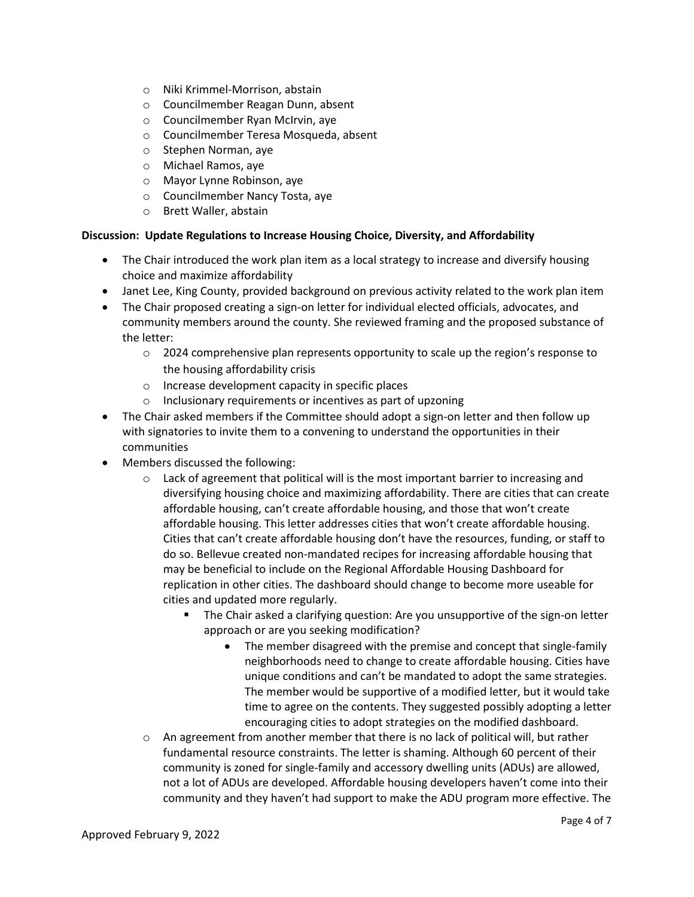- o Niki Krimmel-Morrison, abstain
- o Councilmember Reagan Dunn, absent
- o Councilmember Ryan McIrvin, aye
- o Councilmember Teresa Mosqueda, absent
- o Stephen Norman, aye
- o Michael Ramos, aye
- o Mayor Lynne Robinson, aye
- o Councilmember Nancy Tosta, aye
- o Brett Waller, abstain

## **Discussion: Update Regulations to Increase Housing Choice, Diversity, and Affordability**

- The Chair introduced the work plan item as a local strategy to increase and diversify housing choice and maximize affordability
- Janet Lee, King County, provided background on previous activity related to the work plan item
- The Chair proposed creating a sign-on letter for individual elected officials, advocates, and community members around the county. She reviewed framing and the proposed substance of the letter:
	- $\circ$  2024 comprehensive plan represents opportunity to scale up the region's response to the housing affordability crisis
	- o Increase development capacity in specific places
	- o Inclusionary requirements or incentives as part of upzoning
- The Chair asked members if the Committee should adopt a sign-on letter and then follow up with signatories to invite them to a convening to understand the opportunities in their communities
- Members discussed the following:
	- o Lack of agreement that political will is the most important barrier to increasing and diversifying housing choice and maximizing affordability. There are cities that can create affordable housing, can't create affordable housing, and those that won't create affordable housing. This letter addresses cities that won't create affordable housing. Cities that can't create affordable housing don't have the resources, funding, or staff to do so. Bellevue created non-mandated recipes for increasing affordable housing that may be beneficial to include on the Regional Affordable Housing Dashboard for replication in other cities. The dashboard should change to become more useable for cities and updated more regularly.
		- The Chair asked a clarifying question: Are you unsupportive of the sign-on letter approach or are you seeking modification?
			- The member disagreed with the premise and concept that single-family neighborhoods need to change to create affordable housing. Cities have unique conditions and can't be mandated to adopt the same strategies. The member would be supportive of a modified letter, but it would take time to agree on the contents. They suggested possibly adopting a letter encouraging cities to adopt strategies on the modified dashboard.
	- $\circ$  An agreement from another member that there is no lack of political will, but rather fundamental resource constraints. The letter is shaming. Although 60 percent of their community is zoned for single-family and accessory dwelling units (ADUs) are allowed, not a lot of ADUs are developed. Affordable housing developers haven't come into their community and they haven't had support to make the ADU program more effective. The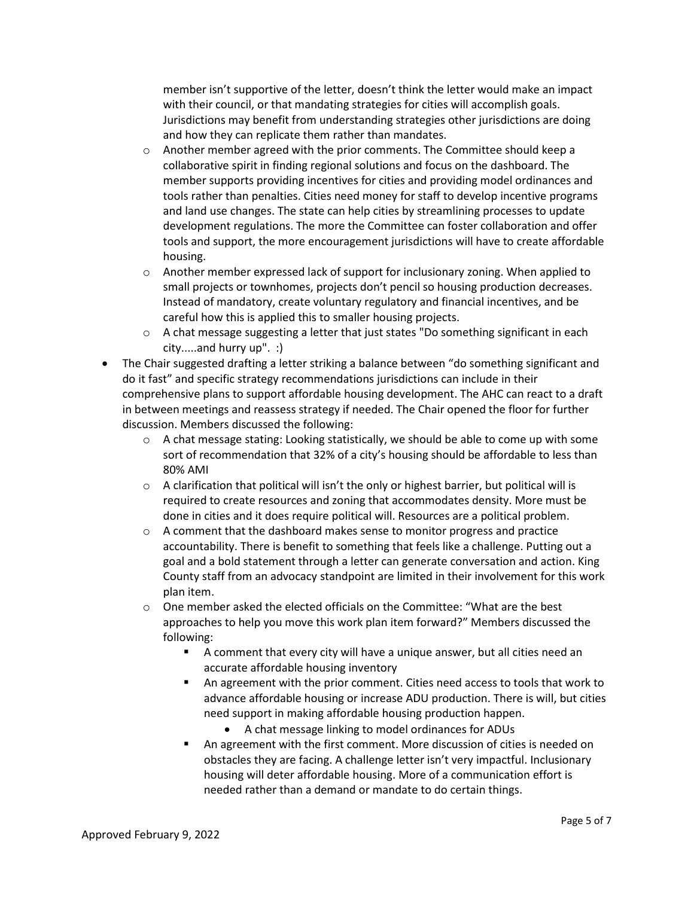member isn't supportive of the letter, doesn't think the letter would make an impact with their council, or that mandating strategies for cities will accomplish goals. Jurisdictions may benefit from understanding strategies other jurisdictions are doing and how they can replicate them rather than mandates.

- o Another member agreed with the prior comments. The Committee should keep a collaborative spirit in finding regional solutions and focus on the dashboard. The member supports providing incentives for cities and providing model ordinances and tools rather than penalties. Cities need money for staff to develop incentive programs and land use changes. The state can help cities by streamlining processes to update development regulations. The more the Committee can foster collaboration and offer tools and support, the more encouragement jurisdictions will have to create affordable housing.
- o Another member expressed lack of support for inclusionary zoning. When applied to small projects or townhomes, projects don't pencil so housing production decreases. Instead of mandatory, create voluntary regulatory and financial incentives, and be careful how this is applied this to smaller housing projects.
- $\circ$  A chat message suggesting a letter that just states "Do something significant in each city.....and hurry up". :)
- The Chair suggested drafting a letter striking a balance between "do something significant and do it fast" and specific strategy recommendations jurisdictions can include in their comprehensive plans to support affordable housing development. The AHC can react to a draft in between meetings and reassess strategy if needed. The Chair opened the floor for further discussion. Members discussed the following:
	- $\circ$  A chat message stating: Looking statistically, we should be able to come up with some sort of recommendation that 32% of a city's housing should be affordable to less than 80% AMI
	- $\circ$  A clarification that political will isn't the only or highest barrier, but political will is required to create resources and zoning that accommodates density. More must be done in cities and it does require political will. Resources are a political problem.
	- $\circ$  A comment that the dashboard makes sense to monitor progress and practice accountability. There is benefit to something that feels like a challenge. Putting out a goal and a bold statement through a letter can generate conversation and action. King County staff from an advocacy standpoint are limited in their involvement for this work plan item.
	- $\circ$  One member asked the elected officials on the Committee: "What are the best approaches to help you move this work plan item forward?" Members discussed the following:
		- A comment that every city will have a unique answer, but all cities need an accurate affordable housing inventory
		- An agreement with the prior comment. Cities need access to tools that work to advance affordable housing or increase ADU production. There is will, but cities need support in making affordable housing production happen.
			- A chat message linking to model ordinances for ADUs
		- An agreement with the first comment. More discussion of cities is needed on obstacles they are facing. A challenge letter isn't very impactful. Inclusionary housing will deter affordable housing. More of a communication effort is needed rather than a demand or mandate to do certain things.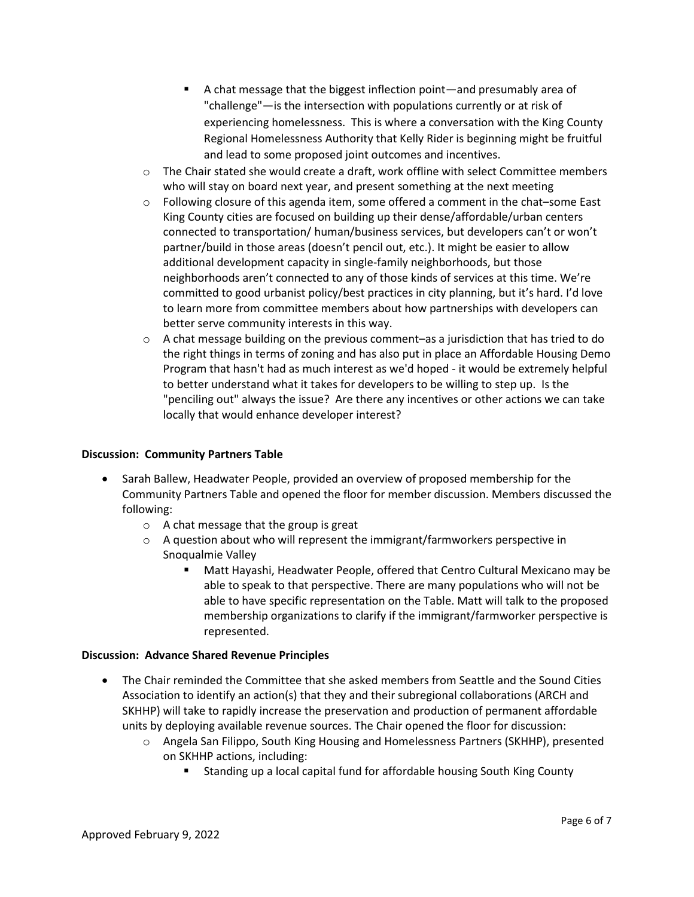- A chat message that the biggest inflection point—and presumably area of "challenge"—is the intersection with populations currently or at risk of experiencing homelessness. This is where a conversation with the King County Regional Homelessness Authority that Kelly Rider is beginning might be fruitful and lead to some proposed joint outcomes and incentives.
- o The Chair stated she would create a draft, work offline with select Committee members who will stay on board next year, and present something at the next meeting
- o Following closure of this agenda item, some offered a comment in the chat–some East King County cities are focused on building up their dense/affordable/urban centers connected to transportation/ human/business services, but developers can't or won't partner/build in those areas (doesn't pencil out, etc.). It might be easier to allow additional development capacity in single-family neighborhoods, but those neighborhoods aren't connected to any of those kinds of services at this time. We're committed to good urbanist policy/best practices in city planning, but it's hard. I'd love to learn more from committee members about how partnerships with developers can better serve community interests in this way.
- $\circ$  A chat message building on the previous comment–as a jurisdiction that has tried to do the right things in terms of zoning and has also put in place an Affordable Housing Demo Program that hasn't had as much interest as we'd hoped - it would be extremely helpful to better understand what it takes for developers to be willing to step up. Is the "penciling out" always the issue? Are there any incentives or other actions we can take locally that would enhance developer interest?

# **Discussion: Community Partners Table**

- Sarah Ballew, Headwater People, provided an overview of proposed membership for the Community Partners Table and opened the floor for member discussion. Members discussed the following:
	- o A chat message that the group is great
	- o A question about who will represent the immigrant/farmworkers perspective in Snoqualmie Valley
		- Matt Hayashi, Headwater People, offered that Centro Cultural Mexicano may be able to speak to that perspective. There are many populations who will not be able to have specific representation on the Table. Matt will talk to the proposed membership organizations to clarify if the immigrant/farmworker perspective is represented.

# **Discussion: Advance Shared Revenue Principles**

- The Chair reminded the Committee that she asked members from Seattle and the Sound Cities Association to identify an action(s) that they and their subregional collaborations (ARCH and SKHHP) will take to rapidly increase the preservation and production of permanent affordable units by deploying available revenue sources. The Chair opened the floor for discussion:
	- o Angela San Filippo, South King Housing and Homelessness Partners (SKHHP), presented on SKHHP actions, including:
		- **EXTERGHTM** Standing up a local capital fund for affordable housing South King County